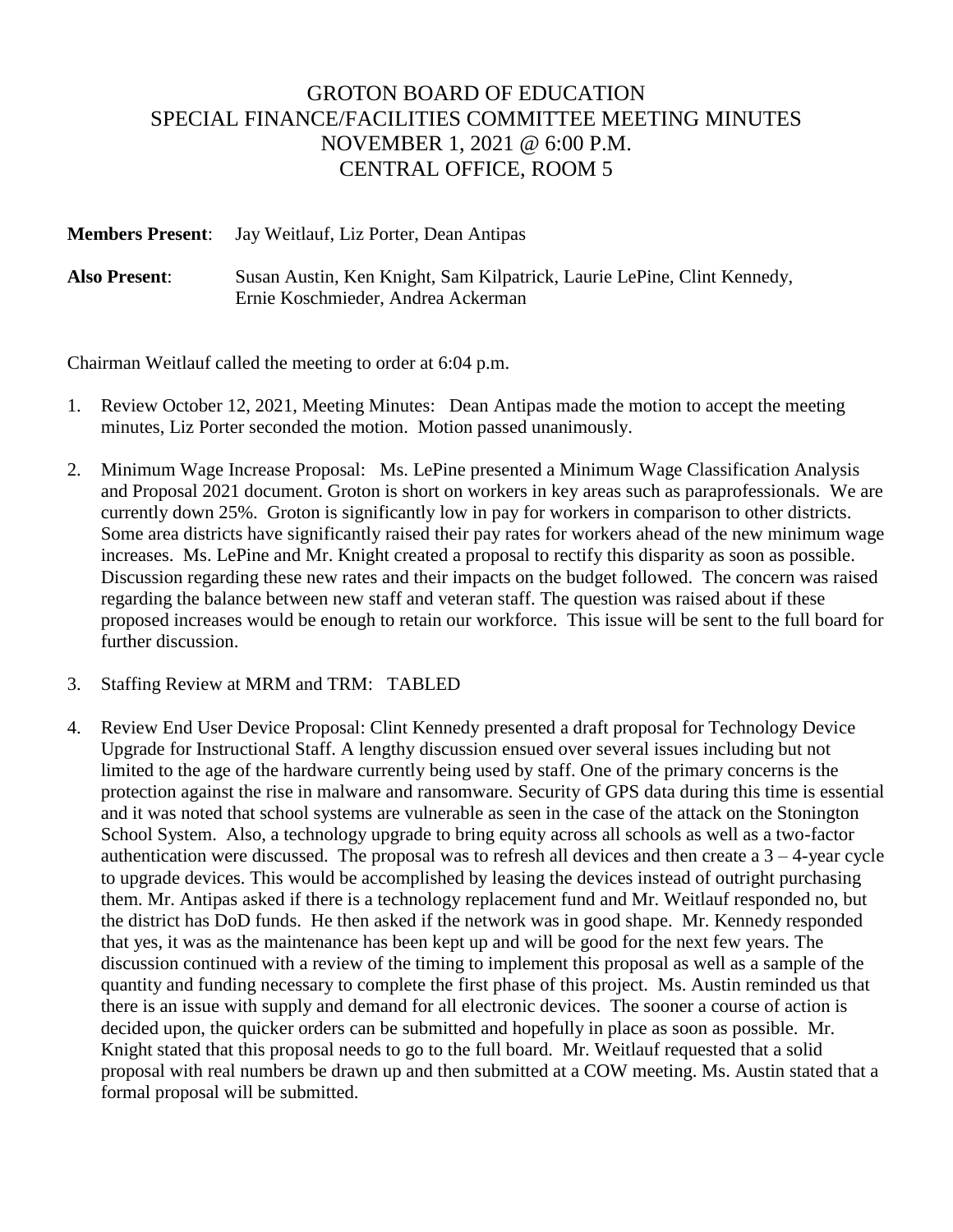## GROTON BOARD OF EDUCATION SPECIAL FINANCE/FACILITIES COMMITTEE MEETING MINUTES NOVEMBER 1, 2021 @ 6:00 P.M. CENTRAL OFFICE, ROOM 5

**Members Present**: Jay Weitlauf, Liz Porter, Dean Antipas

**Also Present**: Susan Austin, Ken Knight, Sam Kilpatrick, Laurie LePine, Clint Kennedy, Ernie Koschmieder, Andrea Ackerman

Chairman Weitlauf called the meeting to order at 6:04 p.m.

- 1. Review October 12, 2021, Meeting Minutes: Dean Antipas made the motion to accept the meeting minutes, Liz Porter seconded the motion. Motion passed unanimously.
- 2. Minimum Wage Increase Proposal: Ms. LePine presented a Minimum Wage Classification Analysis and Proposal 2021 document. Groton is short on workers in key areas such as paraprofessionals. We are currently down 25%. Groton is significantly low in pay for workers in comparison to other districts. Some area districts have significantly raised their pay rates for workers ahead of the new minimum wage increases. Ms. LePine and Mr. Knight created a proposal to rectify this disparity as soon as possible. Discussion regarding these new rates and their impacts on the budget followed. The concern was raised regarding the balance between new staff and veteran staff. The question was raised about if these proposed increases would be enough to retain our workforce. This issue will be sent to the full board for further discussion.
- 3. Staffing Review at MRM and TRM: TABLED
- 4. Review End User Device Proposal: Clint Kennedy presented a draft proposal for Technology Device Upgrade for Instructional Staff. A lengthy discussion ensued over several issues including but not limited to the age of the hardware currently being used by staff. One of the primary concerns is the protection against the rise in malware and ransomware. Security of GPS data during this time is essential and it was noted that school systems are vulnerable as seen in the case of the attack on the Stonington School System. Also, a technology upgrade to bring equity across all schools as well as a two-factor authentication were discussed. The proposal was to refresh all devices and then create a  $3 - 4$ -year cycle to upgrade devices. This would be accomplished by leasing the devices instead of outright purchasing them. Mr. Antipas asked if there is a technology replacement fund and Mr. Weitlauf responded no, but the district has DoD funds. He then asked if the network was in good shape. Mr. Kennedy responded that yes, it was as the maintenance has been kept up and will be good for the next few years. The discussion continued with a review of the timing to implement this proposal as well as a sample of the quantity and funding necessary to complete the first phase of this project. Ms. Austin reminded us that there is an issue with supply and demand for all electronic devices. The sooner a course of action is decided upon, the quicker orders can be submitted and hopefully in place as soon as possible. Mr. Knight stated that this proposal needs to go to the full board. Mr. Weitlauf requested that a solid proposal with real numbers be drawn up and then submitted at a COW meeting. Ms. Austin stated that a formal proposal will be submitted.